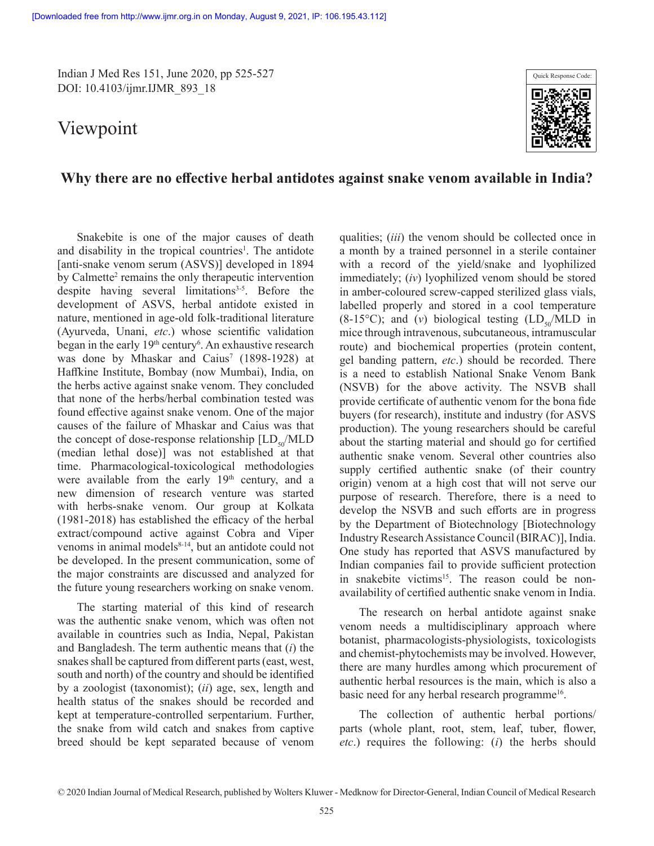Indian J Med Res 151, June 2020, pp 525-527 DOI: 10.4103/ijmr.IJMR\_893\_18

# Viewpoint



## **Why there are no effective herbal antidotes against snake venom available in India?**

Snakebite is one of the major causes of death and disability in the tropical countries<sup>1</sup>. The antidote [anti-snake venom serum (ASVS)] developed in 1894 by Calmette<sup>2</sup> remains the only therapeutic intervention despite having several limitations<sup> $3-5$ </sup>. Before the development of ASVS, herbal antidote existed in nature, mentioned in age-old folk-traditional literature (Ayurveda, Unani, *etc*.) whose scientific validation began in the early 19<sup>th</sup> century<sup>6</sup>. An exhaustive research was done by Mhaskar and Caius<sup>7</sup> (1898-1928) at Haffkine Institute, Bombay (now Mumbai), India, on the herbs active against snake venom. They concluded that none of the herbs/herbal combination tested was found effective against snake venom. One of the major causes of the failure of Mhaskar and Caius was that the concept of dose-response relationship  $[LD_{s}/MLD]$ (median lethal dose)] was not established at that time. Pharmacological-toxicological methodologies were available from the early 19<sup>th</sup> century, and a new dimension of research venture was started with herbs-snake venom. Our group at Kolkata (1981-2018) has established the efficacy of the herbal extract/compound active against Cobra and Viper venoms in animal models<sup>8-14</sup>, but an antidote could not be developed. In the present communication, some of the major constraints are discussed and analyzed for the future young researchers working on snake venom.

The starting material of this kind of research was the authentic snake venom, which was often not available in countries such as India, Nepal, Pakistan and Bangladesh. The term authentic means that (*i*) the snakes shall be captured from different parts (east, west, south and north) of the country and should be identified by a zoologist (taxonomist); (*ii*) age, sex, length and health status of the snakes should be recorded and kept at temperature-controlled serpentarium. Further, the snake from wild catch and snakes from captive breed should be kept separated because of venom

qualities; (*iii*) the venom should be collected once in a month by a trained personnel in a sterile container with a record of the yield/snake and lyophilized immediately; (*iv*) lyophilized venom should be stored in amber-coloured screw-capped sterilized glass vials, labelled properly and stored in a cool temperature  $(8-15\degree C)$ ; and  $(v)$  biological testing  $(LD_{50}/MLD)$  in mice through intravenous, subcutaneous, intramuscular route) and biochemical properties (protein content, gel banding pattern, *etc*.) should be recorded. There is a need to establish National Snake Venom Bank (NSVB) for the above activity. The NSVB shall provide certificate of authentic venom for the bona fide buyers (for research), institute and industry (for ASVS production). The young researchers should be careful about the starting material and should go for certified authentic snake venom. Several other countries also supply certified authentic snake (of their country origin) venom at a high cost that will not serve our purpose of research. Therefore, there is a need to develop the NSVB and such efforts are in progress by the Department of Biotechnology [Biotechnology Industry Research Assistance Council (BIRAC)], India. One study has reported that ASVS manufactured by Indian companies fail to provide sufficient protection in snakebite victims<sup>15</sup>. The reason could be nonavailability of certified authentic snake venom in India.

The research on herbal antidote against snake venom needs a multidisciplinary approach where botanist, pharmacologists-physiologists, toxicologists and chemist-phytochemists may be involved. However, there are many hurdles among which procurement of authentic herbal resources is the main, which is also a basic need for any herbal research programme<sup>16</sup>.

The collection of authentic herbal portions/ parts (whole plant, root, stem, leaf, tuber, flower, *etc*.) requires the following: (*i*) the herbs should

<sup>© 2020</sup> Indian Journal of Medical Research, published by Wolters Kluwer - Medknow for Director-General, Indian Council of Medical Research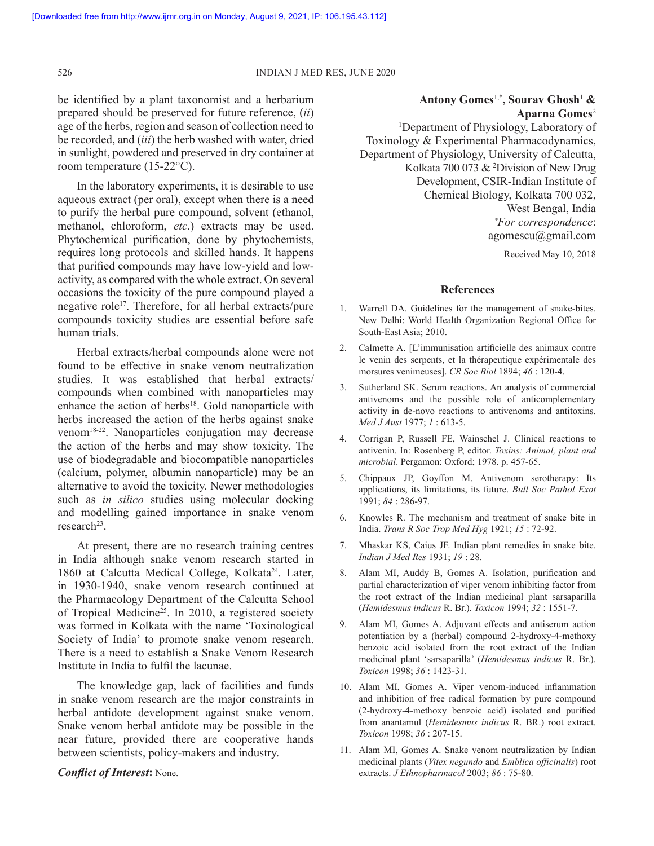be identified by a plant taxonomist and a herbarium prepared should be preserved for future reference, (*ii*) age of the herbs, region and season of collection need to be recorded, and (*iii*) the herb washed with water, dried in sunlight, powdered and preserved in dry container at room temperature (15-22°C).

In the laboratory experiments, it is desirable to use aqueous extract (per oral), except when there is a need to purify the herbal pure compound, solvent (ethanol, methanol, chloroform, *etc*.) extracts may be used. Phytochemical purification, done by phytochemists, requires long protocols and skilled hands. It happens that purified compounds may have low-yield and lowactivity, as compared with the whole extract. On several occasions the toxicity of the pure compound played a negative role<sup>17</sup>. Therefore, for all herbal extracts/pure compounds toxicity studies are essential before safe human trials.

Herbal extracts/herbal compounds alone were not found to be effective in snake venom neutralization studies. It was established that herbal extracts/ compounds when combined with nanoparticles may enhance the action of herbs<sup>18</sup>. Gold nanoparticle with herbs increased the action of the herbs against snake venom18-22. Nanoparticles conjugation may decrease the action of the herbs and may show toxicity. The use of biodegradable and biocompatible nanoparticles (calcium, polymer, albumin nanoparticle) may be an alternative to avoid the toxicity. Newer methodologies such as *in silico* studies using molecular docking and modelling gained importance in snake venom research<sup>23</sup>.

At present, there are no research training centres in India although snake venom research started in 1860 at Calcutta Medical College, Kolkata<sup>24</sup>. Later, in 1930-1940, snake venom research continued at the Pharmacology Department of the Calcutta School of Tropical Medicine<sup>25</sup>. In 2010, a registered society was formed in Kolkata with the name 'Toxinological Society of India' to promote snake venom research. There is a need to establish a Snake Venom Research Institute in India to fulfil the lacunae.

The knowledge gap, lack of facilities and funds in snake venom research are the major constraints in herbal antidote development against snake venom. Snake venom herbal antidote may be possible in the near future, provided there are cooperative hands between scientists, policy-makers and industry.

#### *Conflict of Interest***:** None.

### **Antony Gomes**1,\***, Sourav Ghosh**<sup>1</sup>  **& Aparna Gomes**<sup>2</sup>

<sup>1</sup>Department of Physiology, Laboratory of Toxinology & Experimental Pharmacodynamics, Department of Physiology, University of Calcutta, Kolkata 700 073 & <sup>2</sup>Division of New Drug Development, CSIR-Indian Institute of Chemical Biology, Kolkata 700 032, West Bengal, India *\*For correspondence*: agomescu@gmail.com

Received May 10, 2018

#### **References**

- 1. Warrell DA. Guidelines for the management of snake-bites. New Delhi: World Health Organization Regional Office for South-East Asia; 2010.
- 2. Calmette A. [L'immunisation artificielle des animaux contre le venin des serpents, et la thérapeutique expérimentale des morsures venimeuses]. *CR Soc Biol* 1894; *46* : 120-4.
- 3. Sutherland SK. Serum reactions. An analysis of commercial antivenoms and the possible role of anticomplementary activity in de-novo reactions to antivenoms and antitoxins. *Med J Aust* 1977; *1* : 613-5.
- 4. Corrigan P, Russell FE, Wainschel J. Clinical reactions to antivenin. In: Rosenberg P, editor. *Toxins: Animal, plant and microbial*. Pergamon: Oxford; 1978. p. 457-65.
- 5. Chippaux JP, Goyffon M. Antivenom serotherapy: Its applications, its limitations, its future. *Bull Soc Pathol Exot* 1991; *84* : 286-97.
- 6. Knowles R. The mechanism and treatment of snake bite in India. *Trans R Soc Trop Med Hyg* 1921; *15* : 72-92.
- 7. Mhaskar KS, Caius JF. Indian plant remedies in snake bite. *Indian J Med Res* 1931; *19* : 28.
- 8. Alam MI, Auddy B, Gomes A. Isolation, purification and partial characterization of viper venom inhibiting factor from the root extract of the Indian medicinal plant sarsaparilla (*Hemidesmus indicus* R. Br.). *Toxicon* 1994; *32* : 1551-7.
- 9. Alam MI, Gomes A. Adjuvant effects and antiserum action potentiation by a (herbal) compound 2-hydroxy-4-methoxy benzoic acid isolated from the root extract of the Indian medicinal plant 'sarsaparilla' (*Hemidesmus indicus* R. Br.). *Toxicon* 1998; *36* : 1423-31.
- 10. Alam MI, Gomes A. Viper venom-induced inflammation and inhibition of free radical formation by pure compound (2-hydroxy-4-methoxy benzoic acid) isolated and purified from anantamul (*Hemidesmus indicus* R. BR.) root extract. *Toxicon* 1998; *36* : 207-15.
- 11. Alam MI, Gomes A. Snake venom neutralization by Indian medicinal plants (*Vitex negundo* and *Emblica officinalis*) root extracts. *J Ethnopharmacol* 2003; *86* : 75-80.